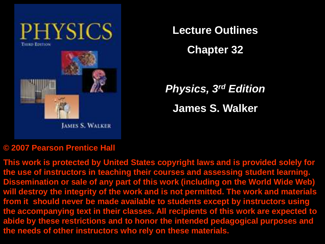

**Lecture Outlines**

**Chapter 32**

*Physics, 3rd Edition* **James S. Walker**

#### **© 2007 Pearson Prentice Hall**

**This work is protected by United States copyright laws and is provided solely for the use of instructors in teaching their courses and assessing student learning. Dissemination or sale of any part of this work (including on the World Wide Web) will destroy the integrity of the work and is not permitted. The work and materials from it should never be made available to students except by instructors using the accompanying text in their classes. All recipients of this work are expected to abide by these restrictions and to honor the intended pedagogical purposes and the needs of other instructors who rely on these materials.**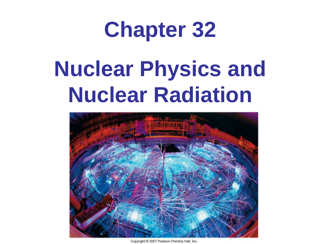# **Chapter 32**

# **Nuclear Physics and Nuclear Radiation**



Copyright C 2007 Pearson Prentice Hall, Inc.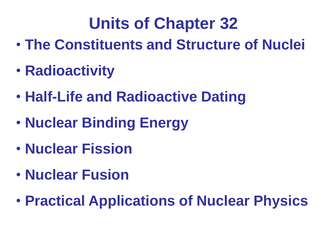# **Units of Chapter 32**

- **The Constituents and Structure of Nuclei**
- **Radioactivity**
- **Half-Life and Radioactive Dating**
- **Nuclear Binding Energy**
- **Nuclear Fission**
- **Nuclear Fusion**
- **Practical Applications of Nuclear Physics**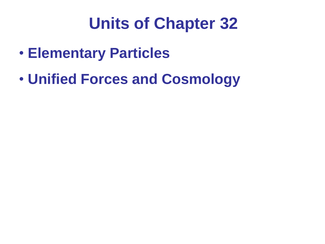# **Units of Chapter 32**

- **Elementary Particles**
- **Unified Forces and Cosmology**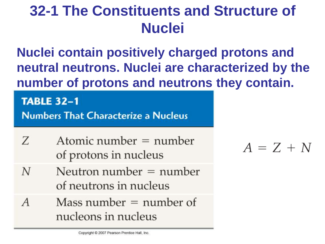**Nuclei contain positively charged protons and neutral neutrons. Nuclei are characterized by the number of protons and neutrons they contain.**

#### **TABLE 32-1**

**Numbers That Characterize a Nucleus** 

- Atomic number  $=$  number Z of protons in nucleus
- Neutron number  $=$  number N of neutrons in nucleus
- Mass number  $=$  number of A nucleons in nucleus

 $A = Z + N$ 

Copyright C 2007 Pearson Prentice Hall, Inc.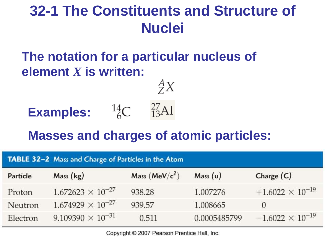#### **The notation for a particular nucleus of element** *X* **is written:**

# **Examples:**  ${}^{14}_{6}C$   ${}^{27}_{13}Al$



 $AX$ 

#### **Masses and charges of atomic particles:**

| <b>TABLE 32-2</b> Mass and Charge of Particles in the Atom |                            |                 |              |                           |  |
|------------------------------------------------------------|----------------------------|-----------------|--------------|---------------------------|--|
| Particle                                                   | Mass (kg)                  | Mass $(MeV/c2)$ | Mass(u)      | Charge $(C)$              |  |
| Proton                                                     | $1.672623 \times 10^{-27}$ | 938.28          | 1.007276     | $+1.6022 \times 10^{-19}$ |  |
| Neutron                                                    | $1.674929 \times 10^{-27}$ | 939.57          | 1.008665     | $\Omega$                  |  |
| Electron                                                   | $9.109390 \times 10^{-31}$ | 0.511           | 0.0005485799 | $-1.6022 \times 10^{-19}$ |  |

Copyright © 2007 Pearson Prentice Hall, Inc.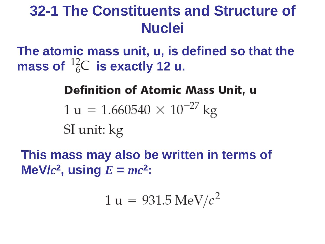**The atomic mass unit, u, is defined so that the**  mass of  $^{12}_{6}C$  is exactly 12 u.

#### **Definition of Atomic Mass Unit, u**

 $1 u = 1.660540 \times 10^{-27} kg$ SI unit: kg

**This mass may also be written in terms of**   $M$ **e** $V/c^2$ , using  $E = mc^2$ :

$$
1\,\mathrm{u} = 931.5\,\mathrm{MeV}/c^2
$$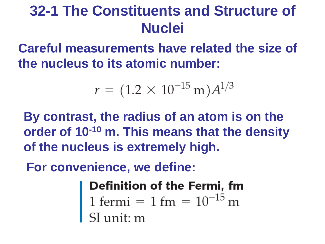**Careful measurements have related the size of the nucleus to its atomic number:**

$$
r = (1.2 \times 10^{-15} \,\mathrm{m}) A^{1/3}
$$

**By contrast, the radius of an atom is on the order of 10-10 m. This means that the density of the nucleus is extremely high.**

**For convenience, we define:**

**Definition of the Fermi, fm**<br>1 fermi = 1 fm =  $10^{-15}$  m<br>SI unit: m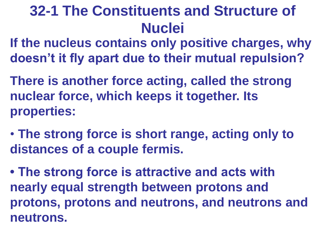**If the nucleus contains only positive charges, why doesn't it fly apart due to their mutual repulsion?** 

**There is another force acting, called the strong nuclear force, which keeps it together. Its properties:**

• **The strong force is short range, acting only to distances of a couple fermis.**

**• The strong force is attractive and acts with nearly equal strength between protons and protons, protons and neutrons, and neutrons and neutrons.**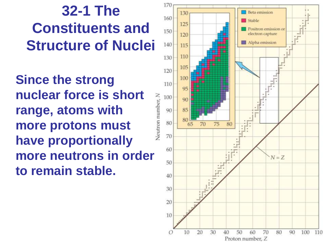**Since the strong nuclear force is short range, atoms with more protons must have proportionally more neutrons in order to remain stable.**

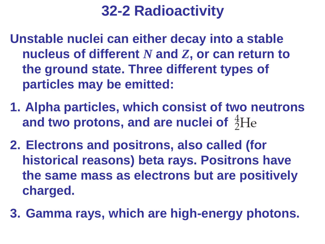**Unstable nuclei can either decay into a stable nucleus of different** *N* **and** *Z***, or can return to the ground state. Three different types of particles may be emitted:**

- **1. Alpha particles, which consist of two neutrons and two protons, and are nuclei of**
- **2. Electrons and positrons, also called (for historical reasons) beta rays. Positrons have the same mass as electrons but are positively charged.**
- **3. Gamma rays, which are high-energy photons.**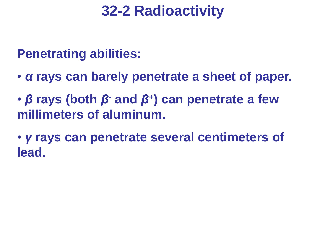**Penetrating abilities:**

- *α* **rays can barely penetrate a sheet of paper.**
- *β* **rays (both** *β***- and** *β***<sup>+</sup> ) can penetrate a few millimeters of aluminum.**
- *γ* **rays can penetrate several centimeters of lead.**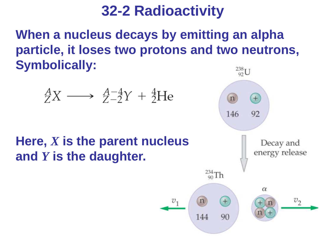**When a nucleus decays by emitting an alpha particle, it loses two protons and two neutrons, Symbolically:**

 $v_1$ 

$$
^A_ZX \longrightarrow \frac{A-4}{Z-2}Y + \frac{4}{2}He
$$

#### **Here,** *X* **is the parent nucleus and** *Y* **is the daughter.**

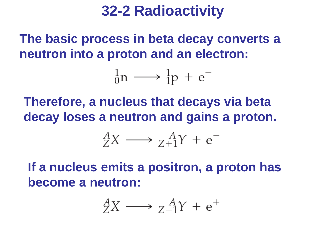**The basic process in beta decay converts a neutron into a proton and an electron:**



**Therefore, a nucleus that decays via beta decay loses a neutron and gains a proton.**

$$
^A_ZX \longrightarrow \, ^A_{Z+1}Y + e^-
$$

**If a nucleus emits a positron, a proton has become a neutron:**

$$
^A_ZX \longrightarrow \, ^A_{Z-1}Y + e^+
$$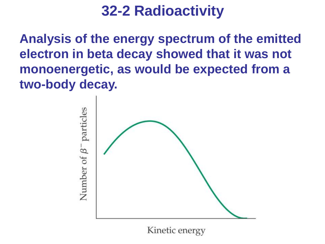**Analysis of the energy spectrum of the emitted electron in beta decay showed that it was not monoenergetic, as would be expected from a two-body decay.**



Kinetic energy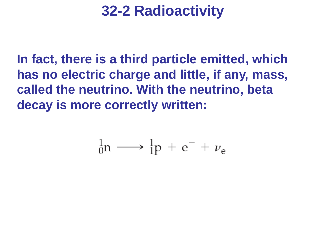**In fact, there is a third particle emitted, which has no electric charge and little, if any, mass, called the neutrino. With the neutrino, beta decay is more correctly written:**

$$
{}_{0}^{1}n \longrightarrow {}_{1}^{1}p + e^{-} + \overline{\nu}_{e}
$$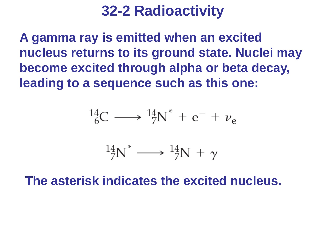**A gamma ray is emitted when an excited nucleus returns to its ground state. Nuclei may become excited through alpha or beta decay, leading to a sequence such as this one:**

$$
{}^{14}_{6}C \longrightarrow {}^{14}_{7}N^* + e^- + \overline{\nu}_e
$$

 $^{14}_{7}N^* \longrightarrow ^{14}_{7}N + \gamma$ 

**The asterisk indicates the excited nucleus.**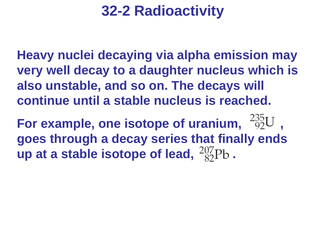**Heavy nuclei decaying via alpha emission may very well decay to a daughter nucleus which is also unstable, and so on. The decays will continue until a stable nucleus is reached.**

**For example, one isotope of uranium,**  $^{235}_{92}U$ . **goes through a decay series that finally ends up at a stable isotope of lead,**  $^{207}_{82}Pb$ .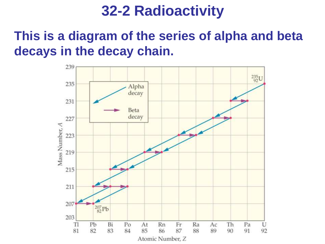#### **This is a diagram of the series of alpha and beta decays in the decay chain.**

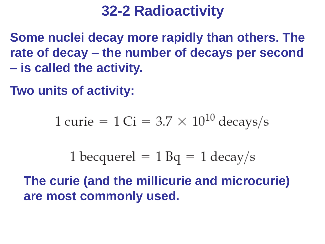**Some nuclei decay more rapidly than others. The rate of decay – the number of decays per second – is called the activity.**

**Two units of activity:**

1 curie =  $1 Ci = 3.7 \times 10^{10}$  decays/s

1 becquerel =  $1$  Bq =  $1$  decay/s

**The curie (and the millicurie and microcurie) are most commonly used.**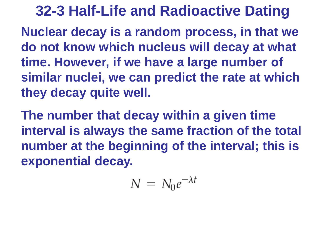**Nuclear decay is a random process, in that we do not know which nucleus will decay at what time. However, if we have a large number of similar nuclei, we can predict the rate at which they decay quite well.**

**The number that decay within a given time interval is always the same fraction of the total number at the beginning of the interval; this is exponential decay.**

$$
N\,=\,N_0e^{-\lambda t}
$$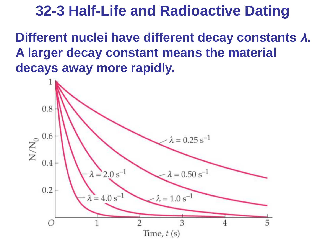**Different nuclei have different decay constants** *λ***. A larger decay constant means the material decays away more rapidly.**

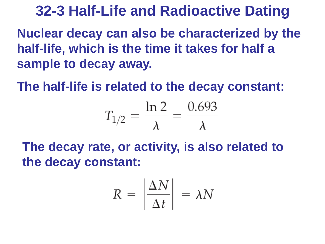**Nuclear decay can also be characterized by the half-life, which is the time it takes for half a sample to decay away.** 

**The half-life is related to the decay constant:**

$$
T_{1/2} = \frac{\ln 2}{\lambda} = \frac{0.693}{\lambda}
$$

**The decay rate, or activity, is also related to the decay constant:**

$$
R = \left| \frac{\Delta N}{\Delta t} \right| = \lambda N
$$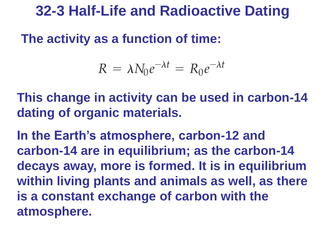#### **The activity as a function of time:**

$$
R = \lambda N_0 e^{-\lambda t} = R_0 e^{-\lambda t}
$$

**This change in activity can be used in carbon-14 dating of organic materials.**

**In the Earth's atmosphere, carbon-12 and carbon-14 are in equilibrium; as the carbon-14 decays away, more is formed. It is in equilibrium within living plants and animals as well, as there is a constant exchange of carbon with the atmosphere.**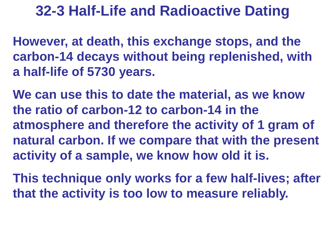**However, at death, this exchange stops, and the carbon-14 decays without being replenished, with a half-life of 5730 years.** 

**We can use this to date the material, as we know the ratio of carbon-12 to carbon-14 in the atmosphere and therefore the activity of 1 gram of natural carbon. If we compare that with the present activity of a sample, we know how old it is.**

**This technique only works for a few half-lives; after that the activity is too low to measure reliably.**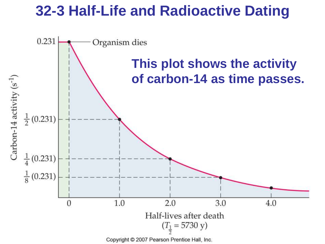

Copyright © 2007 Pearson Prentice Hall, Inc.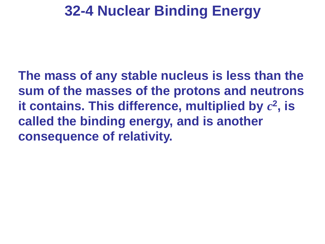# **32-4 Nuclear Binding Energy**

**The mass of any stable nucleus is less than the sum of the masses of the protons and neutrons**  it contains. This difference, multiplied by  $c^2$ , is **called the binding energy, and is another consequence of relativity.**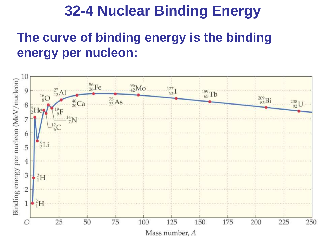# **32-4 Nuclear Binding Energy**

#### **The curve of binding energy is the binding energy per nucleon:**

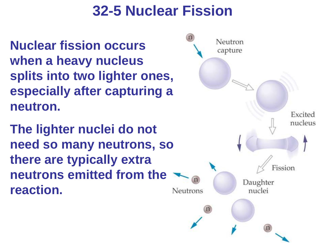# **32-5 Nuclear Fission**

**Nuclear fission occurs when a heavy nucleus splits into two lighter ones, especially after capturing a neutron.**

**The lighter nuclei do not need so many neutrons, so there are typically extra neutrons emitted from the reaction.**

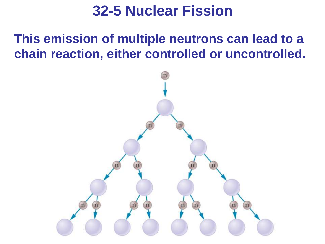### **32-5 Nuclear Fission**

**This emission of multiple neutrons can lead to a chain reaction, either controlled or uncontrolled.**

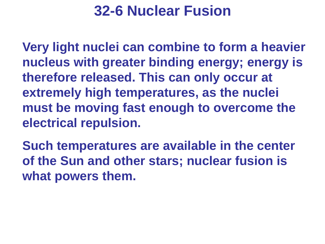### **32-6 Nuclear Fusion**

**Very light nuclei can combine to form a heavier nucleus with greater binding energy; energy is therefore released. This can only occur at extremely high temperatures, as the nuclei must be moving fast enough to overcome the electrical repulsion.**

**Such temperatures are available in the center of the Sun and other stars; nuclear fusion is what powers them.**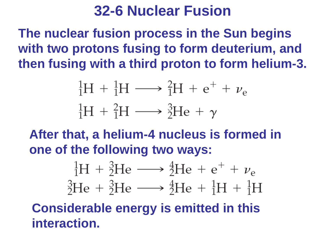#### **32-6 Nuclear Fusion**

**The nuclear fusion process in the Sun begins with two protons fusing to form deuterium, and then fusing with a third proton to form helium-3.**

$$
{}_{1}^{1}\text{H} + {}_{1}^{1}\text{H} \longrightarrow {}_{1}^{2}\text{H} + \text{e}^{+} + \nu_{\text{e}}
$$

$$
{}_{1}^{1}\text{H} + {}_{1}^{2}\text{H} \longrightarrow {}_{2}^{3}\text{He} + \gamma
$$

**After that, a helium-4 nucleus is formed in one of the following two ways:**



**Considerable energy is emitted in this interaction.**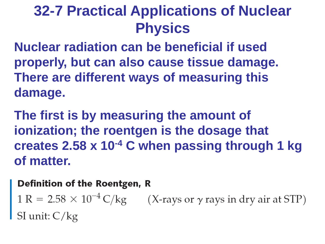**Nuclear radiation can be beneficial if used properly, but can also cause tissue damage. There are different ways of measuring this damage.**

**The first is by measuring the amount of ionization; the roentgen is the dosage that creates 2.58 x 10-4 C when passing through 1 kg of matter.** 

#### **Definition of the Roentgen, R**

1 R =  $2.58 \times 10^{-4}$  C/kg (X-rays or  $\gamma$  rays in dry air at STP)<br>SI unit: C/kg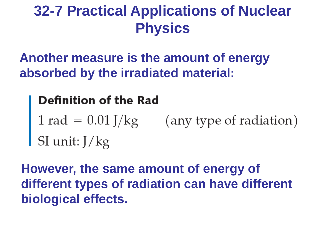**Another measure is the amount of energy absorbed by the irradiated material:**

#### **Definition of the Rad**

**Definition of the Rad**<br>1 rad =  $0.01$  J/kg (any type of radiation)<br>SI unit: J/kg

**However, the same amount of energy of different types of radiation can have different biological effects.**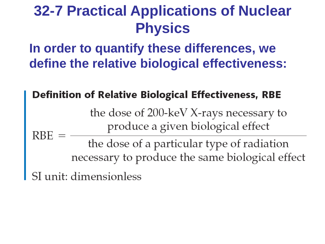**In order to quantify these differences, we define the relative biological effectiveness:**

#### **Definition of Relative Biological Effectiveness, RBE**

the dose of 200-keV X-rays necessary to produce a given biological effect

**RBE** the dose of a particular type of radiation necessary to produce the same biological effect

SI unit: dimensionless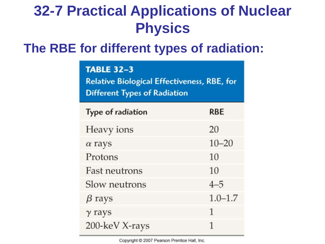#### **The RBE for different types of radiation:**

#### **TABLE 32-3**

**Relative Biological Effectiveness, RBE, for Different Types of Radiation** 

| Type of radiation    | <b>RBE</b>  |
|----------------------|-------------|
| Heavy ions           | 20          |
| $\alpha$ rays        | $10 - 20$   |
| Protons              | 10          |
| <b>Fast neutrons</b> | 10          |
| Slow neutrons        | $4 - 5$     |
| $\beta$ rays         | $1.0 - 1.7$ |
| $\gamma$ rays        | 1           |
| 200-keV X-rays       | 1           |
|                      |             |

Copyright C 2007 Pearson Prentice Hall, Inc.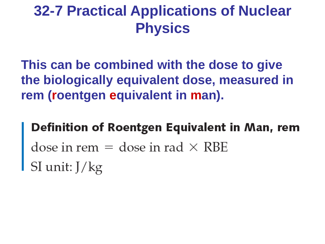**This can be combined with the dose to give the biologically equivalent dose, measured in rem (roentgen equivalent in man).**

Definition of Roentgen Equivalent in Man, rem dose in rem  $=$  dose in rad  $\times$  RBE  $SI$  unit:  $J/kg$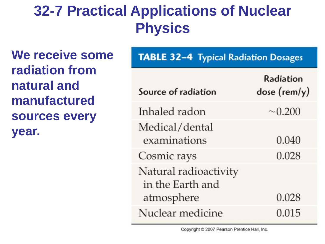**We receive some radiation from natural and manufactured sources every year.**

| <b>TABLE 32-4 Typical Radiation Dosages</b> |                           |  |  |  |
|---------------------------------------------|---------------------------|--|--|--|
| Source of radiation                         | Radiation<br>dose (rem/y) |  |  |  |
| Inhaled radon                               | $\sim 0.200$              |  |  |  |
| Medical/dental<br>examinations              | 0.040                     |  |  |  |
| Cosmic rays                                 | 0.028                     |  |  |  |
| Natural radioactivity<br>in the Earth and   |                           |  |  |  |
| atmosphere                                  | 0.028                     |  |  |  |
| Nuclear medicine                            | 0.015                     |  |  |  |

Copyright @ 2007 Pearson Prentice Hall, Inc.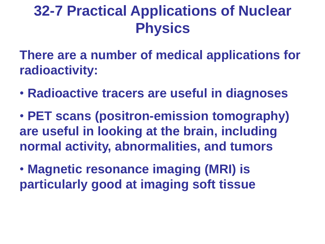**There are a number of medical applications for radioactivity:**

- **Radioactive tracers are useful in diagnoses**
- **PET scans (positron-emission tomography) are useful in looking at the brain, including normal activity, abnormalities, and tumors**
- **Magnetic resonance imaging (MRI) is particularly good at imaging soft tissue**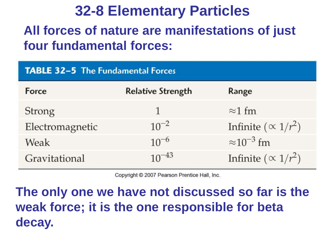#### **All forces of nature are manifestations of just four fundamental forces:**

| <b>TABLE 32-5 The Fundamental Forces</b> |                          |                              |  |  |  |
|------------------------------------------|--------------------------|------------------------------|--|--|--|
| Force                                    | <b>Relative Strength</b> | Range                        |  |  |  |
| <b>Strong</b>                            |                          | $\approx$ 1 fm               |  |  |  |
| Electromagnetic                          | $10^{-2}$                | Infinite ( $\propto 1/r^2$ ) |  |  |  |
| Weak                                     | $10^{-6}$                | $\approx 10^{-3}$ fm         |  |  |  |
| Gravitational                            | $10^{-43}$               | Infinite ( $\propto 1/r^2$ ) |  |  |  |

Copyright © 2007 Pearson Prentice Hall, Inc.

**The only one we have not discussed so far is the weak force; it is the one responsible for beta decay.**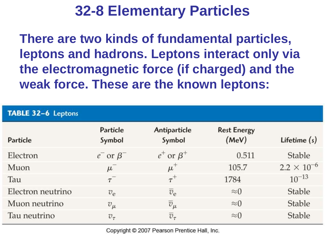**There are two kinds of fundamental particles, leptons and hadrons. Leptons interact only via the electromagnetic force (if charged) and the weak force. These are the known leptons:**

| TABLE 32-6 Leptons |                    |                        |                             |                      |  |  |
|--------------------|--------------------|------------------------|-----------------------------|----------------------|--|--|
| Particle           | Particle<br>Symbol | Antiparticle<br>Symbol | <b>Rest Energy</b><br>(MeV) | Lifetime $(s)$       |  |  |
| Electron           | $e^-$ or $\beta^-$ | $e^+$ or $\beta^+$     | 0.511                       | Stable               |  |  |
| Muon               | $\mu$              | $\mu^+$                | 105.7                       | $2.2 \times 10^{-6}$ |  |  |
| Tau                | $\tau^{-}$         | $\tau^+$               | 1784                        | $10^{-13}$           |  |  |
| Electron neutrino  | $v_{\rm e}$        | $\overline{v}_{e}$     | $\approx 0$                 | Stable               |  |  |
| Muon neutrino      | $v_{\mu}$          | $\overline{v}_\mu$     | $\approx 0$                 | Stable               |  |  |
| Tau neutrino       | $v_{\tau}$         | $\overline{v}_{\tau}$  | $\approx 0$                 | Stable               |  |  |

Copyright © 2007 Pearson Prentice Hall, Inc.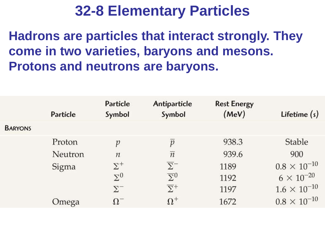**Hadrons are particles that interact strongly. They come in two varieties, baryons and mesons. Protons and neutrons are baryons.** 

|                | Particle | Particle<br>Symbol | Antiparticle<br>Symbol  | <b>Rest Energy</b><br>(MeV) | Lifetime $(s)$        |
|----------------|----------|--------------------|-------------------------|-----------------------------|-----------------------|
| <b>BARYONS</b> |          |                    |                         |                             |                       |
|                | Proton   | p                  | $\boldsymbol{v}$        | 938.3                       | Stable                |
|                | Neutron  | $\boldsymbol{n}$   | $\overline{n}$          | 939.6                       | 900                   |
|                | Sigma    | $\Sigma^+$         | $\overline{\Sigma}^-$   | 1189                        | $0.8 \times 10^{-10}$ |
|                |          | $\Sigma^0$         | $\overline{\Sigma}{}^0$ | 1192                        | $6 \times 10^{-20}$   |
|                |          | $\Sigma^-$         | $\overline{\Sigma}^+$   | 1197                        | $1.6 \times 10^{-10}$ |
|                | Omega    | Ω                  | $\Omega^+$              | 1672                        | $0.8 \times 10^{-10}$ |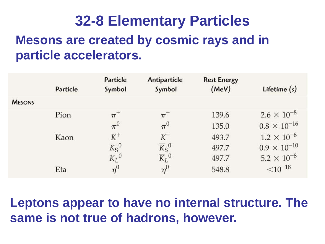# **32-8 Elementary Particles Mesons are created by cosmic rays and in particle accelerators.**

|               | Particle | Particle<br>Symbol | Antiparticle<br>Symbol                                | <b>Rest Energy</b><br>(MeV) | Lifetime $(s)$        |
|---------------|----------|--------------------|-------------------------------------------------------|-----------------------------|-----------------------|
| <b>MESONS</b> |          |                    |                                                       |                             |                       |
|               | Pion     | $\pi^{+}$          | $\pi$                                                 | 139.6                       | $2.6 \times 10^{-8}$  |
|               |          | $\pi^0$            | $\pi^0$                                               | 135.0                       | $0.8 \times 10^{-16}$ |
|               | Kaon     | $K^+$              | $K^-$                                                 | 493.7                       | $1.2 \times 10^{-8}$  |
|               |          | $K_S{}^0$          | $\overline{K}_{\rm S}{}^0$ $\overline{K}_{\rm L}{}^0$ | 497.7                       | $0.9 \times 10^{-10}$ |
|               |          | $K_L{}^0$          |                                                       | 497.7                       | $5.2 \times 10^{-8}$  |
|               | Eta      | $\eta^0$           | $\eta^0$                                              | 548.8                       | $<$ 10 <sup>-18</sup> |

#### **Leptons appear to have no internal structure. The same is not true of hadrons, however.**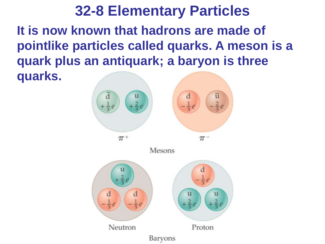#### **32-8 Elementary Particles It is now known that hadrons are made of pointlike particles called quarks. A meson is a quark plus an antiquark; a baryon is three quarks.**

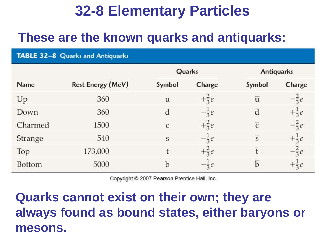#### **These are the known quarks and antiquarks:**

| TABLE 32-8 Quarks and Antiquarks |                          |                |                  |                |                  |  |
|----------------------------------|--------------------------|----------------|------------------|----------------|------------------|--|
|                                  |                          | Quarks         |                  | Antiquarks     |                  |  |
| Name                             | <b>Rest Energy (MeV)</b> | Symbol         | Charge           | Symbol         | Charge           |  |
| Up                               | 360                      | u              | $+\frac{2}{3}e$  | $\overline{u}$ | $-\frac{2}{3}e$  |  |
| Down                             | 360                      | d              | $-\frac{1}{3}e$  | d              | $+\frac{1}{3}e$  |  |
| Charmed                          | 1500                     | $\overline{c}$ | $+\frac{2}{3}e$  | $\overline{C}$ | $-\frac{2}{3}e$  |  |
| Strange                          | 540                      | S              | $-\frac{1}{3}$ e | $\overline{s}$ | $+\frac{1}{3}e$  |  |
| Top                              | 173,000                  | t              | $+\frac{2}{3}e$  | $\ddagger$     | $-\frac{2}{3}e$  |  |
| <b>Bottom</b>                    | 5000                     | b              | $-\frac{1}{3}e$  | $\mathbf b$    | $+\frac{1}{3}$ e |  |

Copyright © 2007 Pearson Prentice Hall, Inc.

#### **Quarks cannot exist on their own; they are always found as bound states, either baryons or mesons.**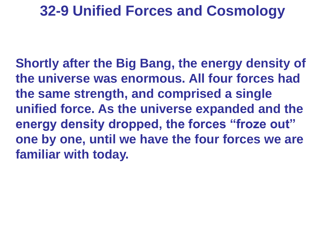#### **32-9 Unified Forces and Cosmology**

**Shortly after the Big Bang, the energy density of the universe was enormous. All four forces had the same strength, and comprised a single unified force. As the universe expanded and the energy density dropped, the forces "froze out" one by one, until we have the four forces we are familiar with today.**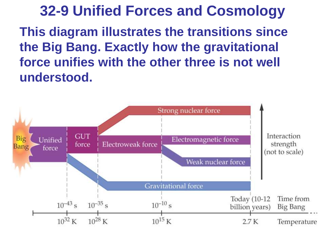**32-9 Unified Forces and Cosmology This diagram illustrates the transitions since the Big Bang. Exactly how the gravitational force unifies with the other three is not well understood.**

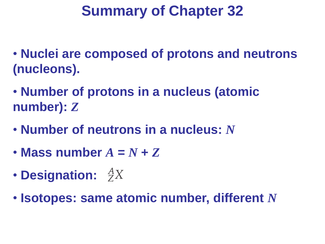- **Nuclei are composed of protons and neutrons (nucleons).**
- **Number of protons in a nucleus (atomic number):** *Z*
- **Number of neutrons in a nucleus:** *N*
- Mass number  $A = N + Z$
- **Designation:**
- **Isotopes: same atomic number, different** *N*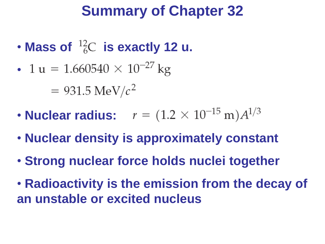- Mass of  $^{12}_{6}C$  is exactly 12 u.
- 1 u = 1.660540  $\times$  10<sup>-27</sup> kg

 $= 931.5 \text{ MeV}/c^2$ 

- **Nuclear radius:**  $r = (1.2 \times 10^{-15} \text{ m})A^{1/3}$
- **Nuclear density is approximately constant**
- **Strong nuclear force holds nuclei together**
- **Radioactivity is the emission from the decay of an unstable or excited nucleus**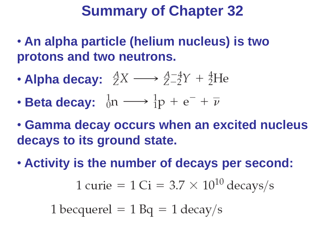- **An alpha particle (helium nucleus) is two protons and two neutrons.**
- **Alpha decay:**  ${}_{Z}^{A}X \longrightarrow {}_{Z-2}^{A-4}Y + {}_{Z}^{4}He$
- **Beta decay:**  $\frac{1}{0}n \longrightarrow \frac{1}{1}p + e^- + \overline{\nu}$
- **Gamma decay occurs when an excited nucleus decays to its ground state.**
- **Activity is the number of decays per second:**

$$
1 \text{ curie} = 1 \text{ Ci} = 3.7 \times 10^{10} \text{ decays/s}
$$

1 becquerel  $= 1$  Bq  $= 1$  decay/s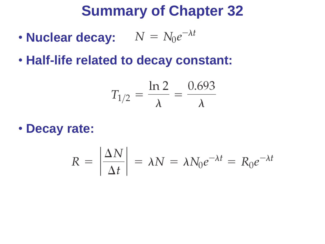- **Nuclear decay:**  $N = N_0 e^{-\lambda t}$
- **Half-life related to decay constant:**

$$
T_{1/2} = \frac{\ln 2}{\lambda} = \frac{0.693}{\lambda}
$$

• **Decay rate:**

$$
R = \left| \frac{\Delta N}{\Delta t} \right| = \lambda N = \lambda N_0 e^{-\lambda t} = R_0 e^{-\lambda t}
$$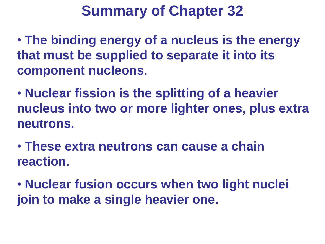- **The binding energy of a nucleus is the energy that must be supplied to separate it into its component nucleons.**
- **Nuclear fission is the splitting of a heavier nucleus into two or more lighter ones, plus extra neutrons.**
- **These extra neutrons can cause a chain reaction.**
- **Nuclear fusion occurs when two light nuclei join to make a single heavier one.**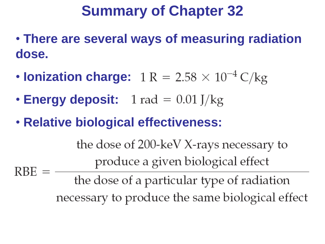- **There are several ways of measuring radiation dose.**
- **Ionization charge:**  $1 R = 2.58 \times 10^{-4} C/kg$
- **Energy deposit:**  $1 \text{ rad} = 0.01 \text{ J/kg}$
- **Relative biological effectiveness:**

the dose of 200-keV X-rays necessary to produce a given biological effect  $RBE =$ the dose of a particular type of radiation

necessary to produce the same biological effect